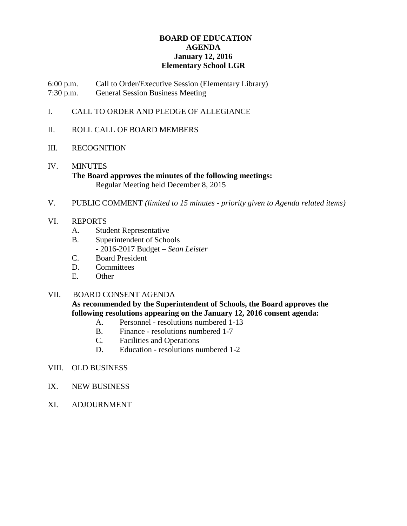# **BOARD OF EDUCATION AGENDA January 12, 2016 Elementary School LGR**

6:00 p.m. Call to Order/Executive Session (Elementary Library) 7:30 p.m. General Session Business Meeting

- I. CALL TO ORDER AND PLEDGE OF ALLEGIANCE
- II. ROLL CALL OF BOARD MEMBERS
- III. RECOGNITION
- IV. MINUTES **The Board approves the minutes of the following meetings:** Regular Meeting held December 8, 2015
- V. PUBLIC COMMENT *(limited to 15 minutes - priority given to Agenda related items)*
- VI. REPORTS
	- A. Student Representative
	- B. Superintendent of Schools - 2016-2017 Budget – *Sean Leister*
	- C. Board President
	- D. Committees
	- E. Other

# VII. BOARD CONSENT AGENDA

**As recommended by the Superintendent of Schools, the Board approves the following resolutions appearing on the January 12, 2016 consent agenda:**

- A. Personnel resolutions numbered 1-13
- B. Finance resolutions numbered 1-7
- C. Facilities and Operations
- D. Education resolutions numbered 1-2
- VIII. OLD BUSINESS
- IX. NEW BUSINESS
- XI. ADJOURNMENT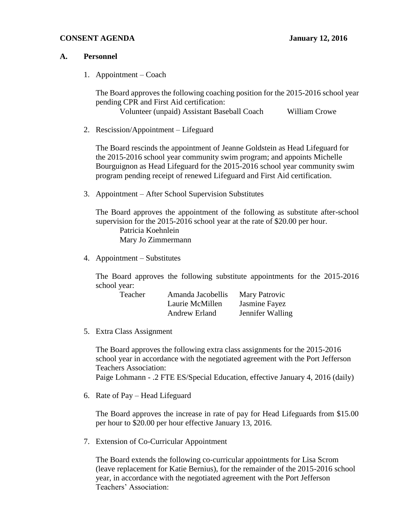# **CONSENT AGENDA January 12, 2016**

#### **A. Personnel**

1. Appointment – Coach

The Board approves the following coaching position for the 2015-2016 school year pending CPR and First Aid certification:

Volunteer (unpaid) Assistant Baseball Coach William Crowe

2. Rescission/Appointment – Lifeguard

The Board rescinds the appointment of Jeanne Goldstein as Head Lifeguard for the 2015-2016 school year community swim program; and appoints Michelle Bourguignon as Head Lifeguard for the 2015-2016 school year community swim program pending receipt of renewed Lifeguard and First Aid certification.

3. Appointment – After School Supervision Substitutes

The Board approves the appointment of the following as substitute after-school supervision for the 2015-2016 school year at the rate of \$20.00 per hour. Patricia Koehnlein Mary Jo Zimmermann

4. Appointment – Substitutes

The Board approves the following substitute appointments for the 2015-2016 school year:

| Teacher | Amanda Jacobellis | Mary Patrovic    |
|---------|-------------------|------------------|
|         | Laurie McMillen   | Jasmine Fayez    |
|         | Andrew Erland     | Jennifer Walling |

5. Extra Class Assignment

The Board approves the following extra class assignments for the 2015-2016 school year in accordance with the negotiated agreement with the Port Jefferson Teachers Association:

Paige Lohmann - .2 FTE ES/Special Education, effective January 4, 2016 (daily)

6. Rate of Pay – Head Lifeguard

The Board approves the increase in rate of pay for Head Lifeguards from \$15.00 per hour to \$20.00 per hour effective January 13, 2016.

7. Extension of Co-Curricular Appointment

The Board extends the following co-curricular appointments for Lisa Scrom (leave replacement for Katie Bernius), for the remainder of the 2015-2016 school year, in accordance with the negotiated agreement with the Port Jefferson Teachers' Association: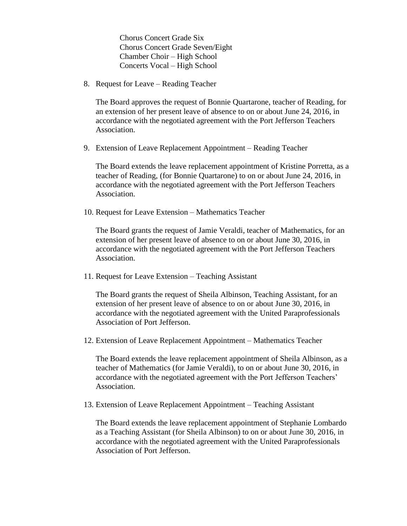Chorus Concert Grade Six Chorus Concert Grade Seven/Eight Chamber Choir – High School Concerts Vocal – High School

8. Request for Leave – Reading Teacher

The Board approves the request of Bonnie Quartarone, teacher of Reading, for an extension of her present leave of absence to on or about June 24, 2016, in accordance with the negotiated agreement with the Port Jefferson Teachers Association.

9. Extension of Leave Replacement Appointment – Reading Teacher

The Board extends the leave replacement appointment of Kristine Porretta, as a teacher of Reading, (for Bonnie Quartarone) to on or about June 24, 2016, in accordance with the negotiated agreement with the Port Jefferson Teachers Association.

10. Request for Leave Extension – Mathematics Teacher

The Board grants the request of Jamie Veraldi, teacher of Mathematics, for an extension of her present leave of absence to on or about June 30, 2016, in accordance with the negotiated agreement with the Port Jefferson Teachers Association.

11. Request for Leave Extension – Teaching Assistant

The Board grants the request of Sheila Albinson, Teaching Assistant, for an extension of her present leave of absence to on or about June 30, 2016, in accordance with the negotiated agreement with the United Paraprofessionals Association of Port Jefferson.

12. Extension of Leave Replacement Appointment – Mathematics Teacher

The Board extends the leave replacement appointment of Sheila Albinson, as a teacher of Mathematics (for Jamie Veraldi), to on or about June 30, 2016, in accordance with the negotiated agreement with the Port Jefferson Teachers' Association.

13. Extension of Leave Replacement Appointment – Teaching Assistant

The Board extends the leave replacement appointment of Stephanie Lombardo as a Teaching Assistant (for Sheila Albinson) to on or about June 30, 2016, in accordance with the negotiated agreement with the United Paraprofessionals Association of Port Jefferson.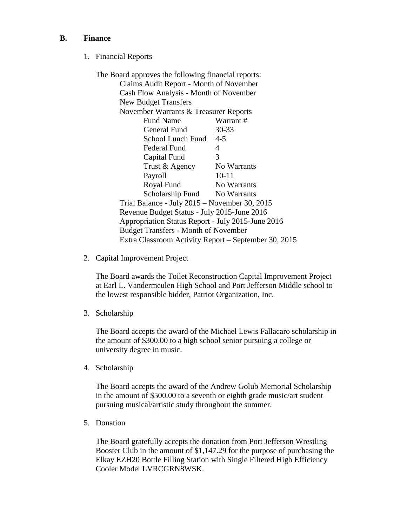# **B. Finance**

1. Financial Reports

| The Board approves the following financial reports:  |             |  |
|------------------------------------------------------|-------------|--|
| Claims Audit Report - Month of November              |             |  |
| Cash Flow Analysis - Month of November               |             |  |
| <b>New Budget Transfers</b>                          |             |  |
| November Warrants & Treasurer Reports                |             |  |
| <b>Fund Name</b>                                     | Warrant#    |  |
| General Fund                                         | $30 - 33$   |  |
| School Lunch Fund                                    | $4 - 5$     |  |
| Federal Fund                                         | 4           |  |
| Capital Fund                                         | 3           |  |
| Trust & Agency                                       | No Warrants |  |
| Payroll                                              | $10 - 11$   |  |
| Royal Fund                                           | No Warrants |  |
| Scholarship Fund No Warrants                         |             |  |
| Trial Balance - July 2015 – November 30, 2015        |             |  |
| Revenue Budget Status - July 2015-June 2016          |             |  |
| Appropriation Status Report - July 2015-June 2016    |             |  |
| <b>Budget Transfers - Month of November</b>          |             |  |
| Extra Classroom Activity Report – September 30, 2015 |             |  |

2. Capital Improvement Project

The Board awards the Toilet Reconstruction Capital Improvement Project at Earl L. Vandermeulen High School and Port Jefferson Middle school to the lowest responsible bidder, Patriot Organization, Inc.

3. Scholarship

The Board accepts the award of the Michael Lewis Fallacaro scholarship in the amount of \$300.00 to a high school senior pursuing a college or university degree in music.

4. Scholarship

The Board accepts the award of the Andrew Golub Memorial Scholarship in the amount of \$500.00 to a seventh or eighth grade music/art student pursuing musical/artistic study throughout the summer.

5. Donation

The Board gratefully accepts the donation from Port Jefferson Wrestling Booster Club in the amount of \$1,147.29 for the purpose of purchasing the Elkay EZH20 Bottle Filling Station with Single Filtered High Efficiency Cooler Model LVRCGRN8WSK.